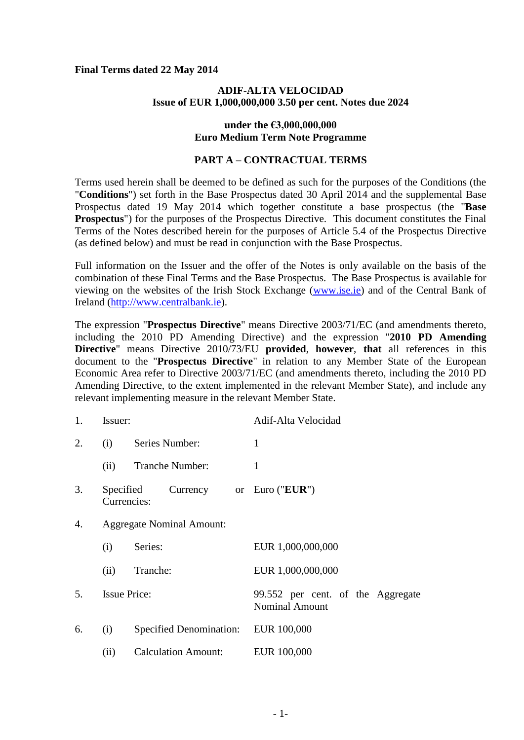### **Final Terms dated 22 May 2014**

### **ADIF-ALTA VELOCIDAD Issue of EUR 1,000,000,000 3.50 per cent. Notes due 2024**

### **under the €3,000,000,000 Euro Medium Term Note Programme**

# **PART A – CONTRACTUAL TERMS**

Terms used herein shall be deemed to be defined as such for the purposes of the Conditions (the "**Conditions**") set forth in the Base Prospectus dated 30 April 2014 and the supplemental Base Prospectus dated 19 May 2014 which together constitute a base prospectus (the "**Base Prospectus**") for the purposes of the Prospectus Directive. This document constitutes the Final Terms of the Notes described herein for the purposes of Article 5.4 of the Prospectus Directive (as defined below) and must be read in conjunction with the Base Prospectus.

Full information on the Issuer and the offer of the Notes is only available on the basis of the combination of these Final Terms and the Base Prospectus. The Base Prospectus is available for viewing on the websites of the Irish Stock Exchange (www.ise.ie) and of the Central Bank of Ireland (http://www.centralbank.ie).

The expression "**Prospectus Directive**" means Directive 2003/71/EC (and amendments thereto, including the 2010 PD Amending Directive) and the expression "**2010 PD Amending Directive**" means Directive 2010/73/EU **provided**, **however**, **that** all references in this document to the "**Prospectus Directive**" in relation to any Member State of the European Economic Area refer to Directive 2003/71/EC (and amendments thereto, including the 2010 PD Amending Directive, to the extent implemented in the relevant Member State), and include any relevant implementing measure in the relevant Member State.

| 1. | Issuer:                          |                                   | Adif-Alta Velocidad                                        |
|----|----------------------------------|-----------------------------------|------------------------------------------------------------|
| 2. | (i)                              | Series Number:                    | $\mathbf{1}$                                               |
|    | (ii)                             | Tranche Number:                   | 1                                                          |
| 3. | Specified<br>Currencies:         | Currency or Euro (" <b>EUR</b> ") |                                                            |
| 4. | <b>Aggregate Nominal Amount:</b> |                                   |                                                            |
|    | (i)                              | Series:                           | EUR 1,000,000,000                                          |
|    | (ii)                             | Tranche:                          | EUR 1,000,000,000                                          |
| 5. | <b>Issue Price:</b>              |                                   | 99.552 per cent. of the Aggregate<br><b>Nominal Amount</b> |
| 6. | (i)                              | <b>Specified Denomination:</b>    | EUR 100,000                                                |
|    | (ii)                             | <b>Calculation Amount:</b>        | EUR 100,000                                                |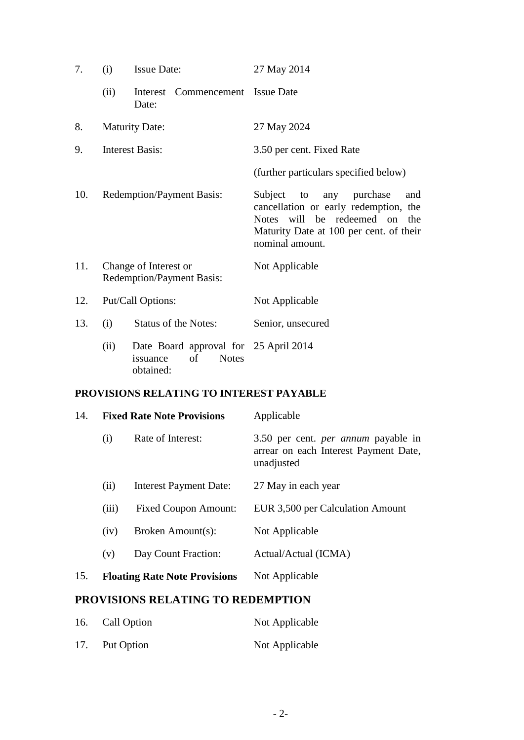| 7.  | (i)                                                       | <b>Issue Date:</b>                                                                   | 27 May 2014                                                                                                                                                            |
|-----|-----------------------------------------------------------|--------------------------------------------------------------------------------------|------------------------------------------------------------------------------------------------------------------------------------------------------------------------|
|     | (ii)                                                      | Interest Commencement Issue Date<br>Date:                                            |                                                                                                                                                                        |
| 8.  | <b>Maturity Date:</b>                                     |                                                                                      | 27 May 2024                                                                                                                                                            |
| 9.  | <b>Interest Basis:</b>                                    |                                                                                      | 3.50 per cent. Fixed Rate                                                                                                                                              |
|     |                                                           |                                                                                      | (further particulars specified below)                                                                                                                                  |
| 10. | <b>Redemption/Payment Basis:</b>                          |                                                                                      | Subject to any purchase<br>and<br>cancellation or early redemption, the<br>Notes will be redeemed on the<br>Maturity Date at 100 per cent. of their<br>nominal amount. |
| 11. | Change of Interest or<br><b>Redemption/Payment Basis:</b> |                                                                                      | Not Applicable                                                                                                                                                         |
| 12. | Put/Call Options:                                         |                                                                                      | Not Applicable                                                                                                                                                         |
| 13. | (i)                                                       | <b>Status of the Notes:</b>                                                          | Senior, unsecured                                                                                                                                                      |
|     | (ii)                                                      | Date Board approval for 25 April 2014<br>of<br><b>Notes</b><br>issuance<br>obtained: |                                                                                                                                                                        |

# **PROVISIONS RELATING TO INTEREST PAYABLE**

| 14. | <b>Fixed Rate Note Provisions</b>    |                               | Applicable                                                                                        |
|-----|--------------------------------------|-------------------------------|---------------------------------------------------------------------------------------------------|
|     | (i)                                  | Rate of Interest:             | 3.50 per cent. <i>per annum</i> payable in<br>arrear on each Interest Payment Date,<br>unadjusted |
|     | (i)                                  | <b>Interest Payment Date:</b> | 27 May in each year                                                                               |
|     | (iii)                                | <b>Fixed Coupon Amount:</b>   | EUR 3,500 per Calculation Amount                                                                  |
|     | (iv)                                 | Broken Amount(s):             | Not Applicable                                                                                    |
|     | (v)                                  | Day Count Fraction:           | Actual/Actual (ICMA)                                                                              |
| 15. | <b>Floating Rate Note Provisions</b> |                               | Not Applicable                                                                                    |

# **PROVISIONS RELATING TO REDEMPTION**

| 16. Call Option | Not Applicable |
|-----------------|----------------|
| 17. Put Option  | Not Applicable |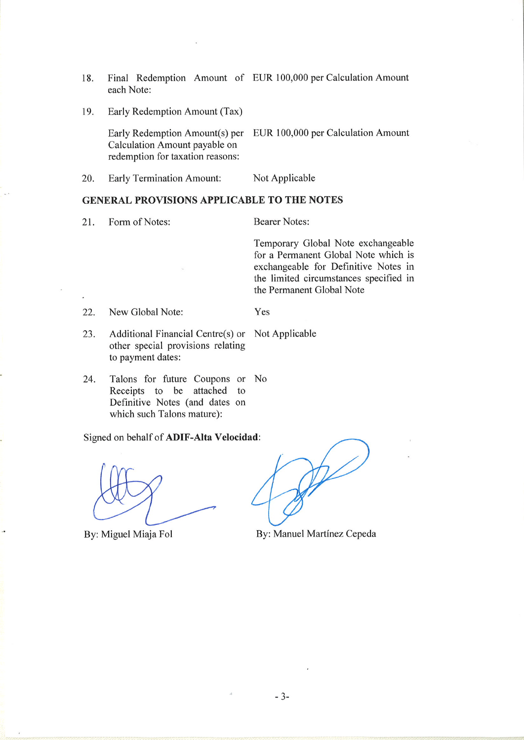- Final Redemption Amount of EUR 100,000 per Calculation Amount 18. each Note:
- Early Redemption Amount (Tax) 19.

Early Redemption Amount(s) per EUR 100,000 per Calculation Amount Calculation Amount payable on redemption for taxation reasons:

20. **Early Termination Amount:** Not Applicable

### **GENERAL PROVISIONS APPLICABLE TO THE NOTES**

21. Form of Notes: **Bearer Notes:** 

Temporary Global Note exchangeable for a Permanent Global Note which is exchangeable for Definitive Notes in the limited circumstances specified in the Permanent Global Note

22. New Global Note: Yes

- Additional Financial Centre(s) or Not Applicable 23. other special provisions relating to payment dates:
- Talons for future Coupons or No 24. Receipts to be attached to Definitive Notes (and dates on which such Talons mature):

Signed on behalf of ADIF-Alta Velocidad:

By: Miguel Miaja Fol

By: Manuel Martínez Cepeda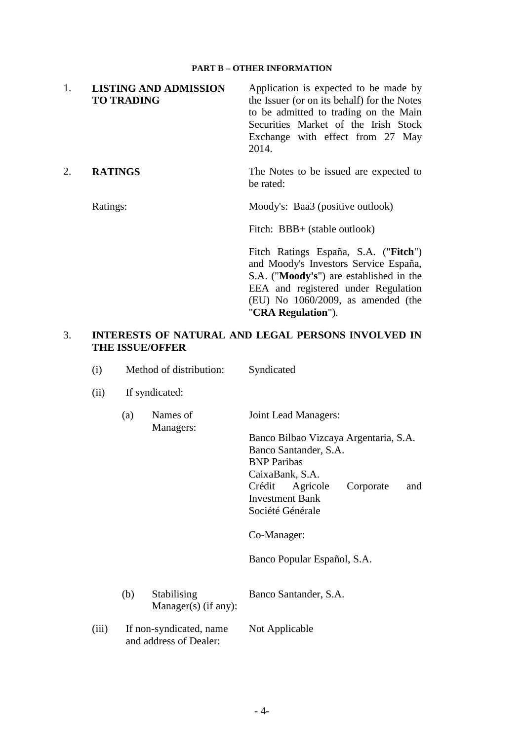#### **PART B – OTHER INFORMATION**

| 1. | <b>LISTING AND ADMISSION</b><br><b>TO TRADING</b> | Application is expected to be made by<br>the Issuer (or on its behalf) for the Notes<br>to be admitted to trading on the Main<br>Securities Market of the Irish Stock<br>Exchange with effect from 27 May<br>2014.                     |
|----|---------------------------------------------------|----------------------------------------------------------------------------------------------------------------------------------------------------------------------------------------------------------------------------------------|
|    | <b>RATINGS</b>                                    | The Notes to be issued are expected to<br>be rated:                                                                                                                                                                                    |
|    | Ratings:                                          | Moody's: Baa3 (positive outlook)                                                                                                                                                                                                       |
|    |                                                   | Fitch: BBB+ (stable outlook)                                                                                                                                                                                                           |
|    |                                                   | Fitch Ratings España, S.A. ("Fitch")<br>and Moody's Investors Service España,<br>S.A. (" <b>Moody's</b> ") are established in the<br>EEA and registered under Regulation<br>$(EU)$ No 1060/2009, as amended (the<br>"CRA Regulation"). |

## 3. **INTERESTS OF NATURAL AND LEGAL PERSONS INVOLVED IN THE ISSUE/OFFER**

- (i) Method of distribution: Syndicated
- (ii) If syndicated:
	- (a) Names of Managers: Joint Lead Managers: Banco Bilbao Vizcaya Argentaria, S.A. Banco Santander, S.A. BNP Paribas CaixaBank, S.A. Crédit Agricole Corporate and Investment Bank

Co-Manager:

Société Générale

Banco Popular Español, S.A.

- (b) Stabilising Manager(s) (if any): Banco Santander, S.A.
- (iii) If non-syndicated, name and address of Dealer: Not Applicable